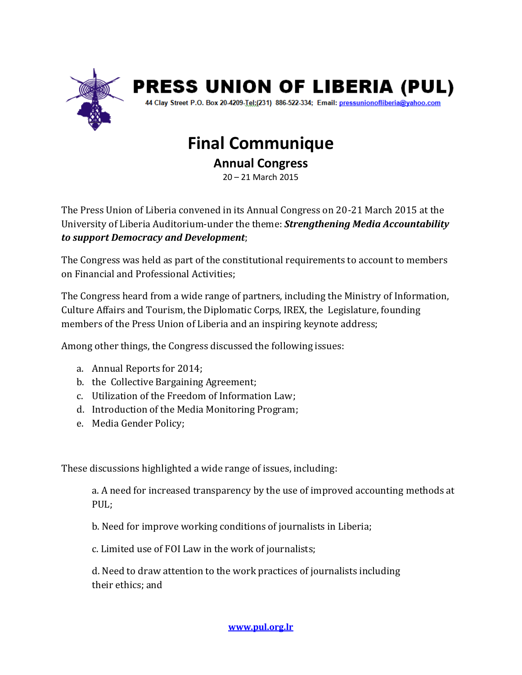

## **PRESS UNION OF LIBERIA (PUL)**

44 Clay Street P.O. Box 20-4209-Tel:(231) 886-522-334; Email: pressunionofliberia@yahoo.com

## **Final Communique**

**Annual Congress** 

20 – 21 March 2015

The Press Union of Liberia convened in its Annual Congress on 20-21 March 2015 at the University of Liberia Auditorium-under the theme: *Strengthening Media Accountability to support Democracy and Development*;

The Congress was held as part of the constitutional requirements to account to members on Financial and Professional Activities;

The Congress heard from a wide range of partners, including the Ministry of Information, Culture Affairs and Tourism, the Diplomatic Corps, IREX, the Legislature, founding members of the Press Union of Liberia and an inspiring keynote address;

Among other things, the Congress discussed the following issues:

- a. Annual Reports for 2014;
- b. the Collective Bargaining Agreement;
- c. Utilization of the Freedom of Information Law;
- d. Introduction of the Media Monitoring Program;
- e. Media Gender Policy;

These discussions highlighted a wide range of issues, including:

a. A need for increased transparency by the use of improved accounting methods at PUL;

b. Need for improve working conditions of journalists in Liberia;

c. Limited use of FOI Law in the work of journalists;

d. Need to draw attention to the work practices of journalists including their ethics; and

**[www.pul.org.lr](http://www.pul.org.lr/)**